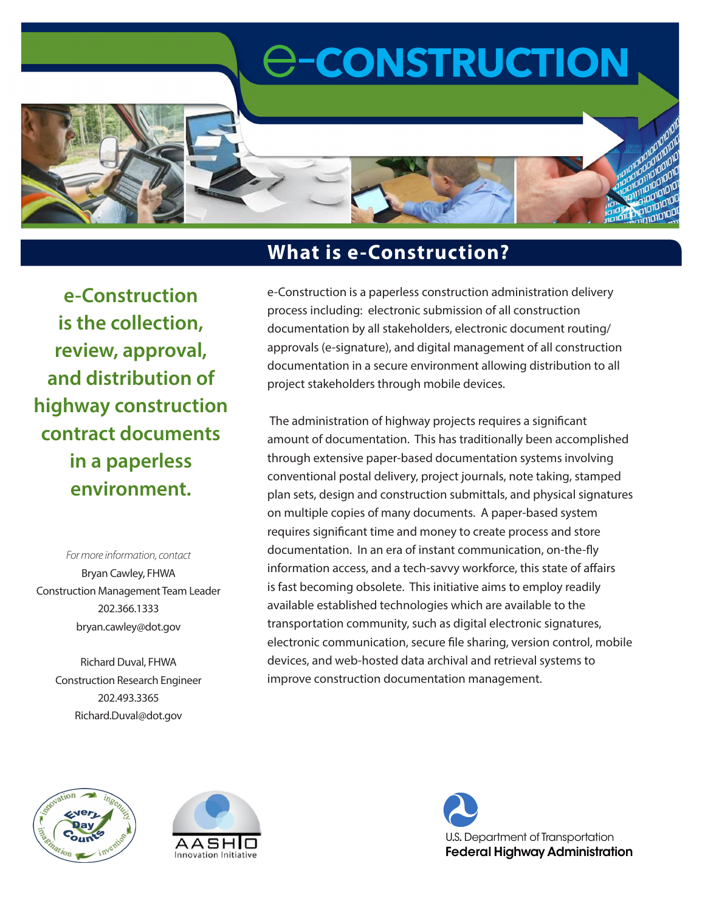# e-**CONSTRUCTION**



**e-Construction is the collection, review, approval, and distribution of highway construction contract documents in a paperless environment.**

*For more information, contact* Bryan Cawley, FHWA Construction Management Team Leader 202.366.1333 bryan.cawley@dot.gov

Richard Duval, FHWA Construction Research Engineer 202.493.3365 Richard.Duval@dot.gov

### **What is e-Construction?**

e-Construction is a paperless construction administration delivery process including: electronic submission of all construction documentation by all stakeholders, electronic document routing/ approvals (e-signature), and digital management of all construction documentation in a secure environment allowing distribution to all project stakeholders through mobile devices.

 The administration of highway projects requires a significant amount of documentation. This has traditionally been accomplished through extensive paper-based documentation systems involving conventional postal delivery, project journals, note taking, stamped plan sets, design and construction submittals, and physical signatures on multiple copies of many documents. A paper-based system requires significant time and money to create process and store documentation. In an era of instant communication, on-the-fly information access, and a tech-savvy workforce, this state of affairs is fast becoming obsolete. This initiative aims to employ readily available established technologies which are available to the transportation community, such as digital electronic signatures, electronic communication, secure file sharing, version control, mobile devices, and web-hosted data archival and retrieval systems to improve construction documentation management.